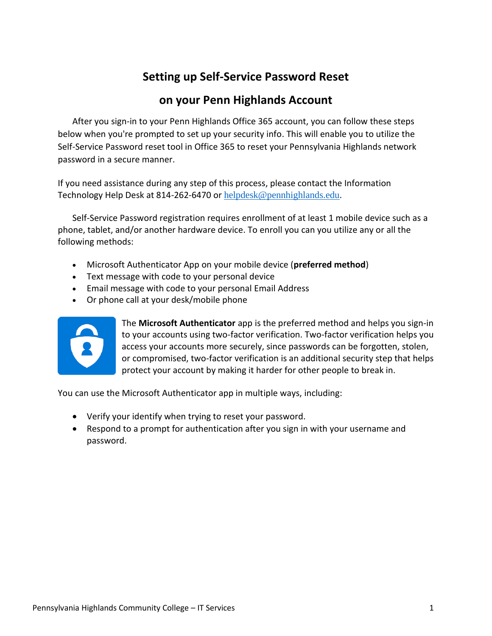## **Setting up Self-Service Password Reset**

## **on your Penn Highlands Account**

After you sign-in to your Penn Highlands Office 365 account, you can follow these steps below when you're prompted to set up your security info. This will enable you to utilize the Self-Service Password reset tool in Office 365 to reset your Pennsylvania Highlands network password in a secure manner.

If you need assistance during any step of this process, please contact the Information Technology Help Desk at 814-262-6470 or [helpdesk@pennhighlands.edu](mailto:helpdesk@pennhighlands.edu).

Self-Service Password registration requires enrollment of at least 1 mobile device such as a phone, tablet, and/or another hardware device. To enroll you can you utilize any or all the following methods:

- Microsoft Authenticator App on your mobile device (**preferred method**)
- Text message with code to your personal device
- Email message with code to your personal Email Address
- Or phone call at your desk/mobile phone



The **Microsoft Authenticator** app is the preferred method and helps you sign-in to your accounts using two-factor verification. Two-factor verification helps you access your accounts more securely, since passwords can be forgotten, stolen, or compromised, two-factor verification is an additional security step that helps protect your account by making it harder for other people to break in.

You can use the Microsoft Authenticator app in multiple ways, including:

- Verify your identify when trying to reset your password.
- Respond to a prompt for authentication after you sign in with your username and password.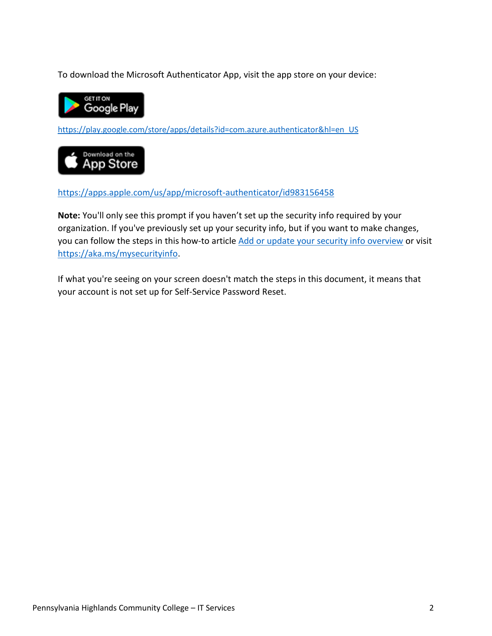To download the Microsoft Authenticator App, visit the app store on your device:



[https://play.google.com/store/apps/details?id=com.azure.authenticator&hl=en\\_US](https://play.google.com/store/apps/details?id=com.azure.authenticator&hl=en_US)



<https://apps.apple.com/us/app/microsoft-authenticator/id983156458>

**Note:** You'll only see this prompt if you haven't set up the security info required by your organization. If you've previously set up your security info, but if you want to make changes, you can follow the steps in this how-to articl[e Add or update your security info overview](https://docs.microsoft.com/en-us/azure/active-directory/user-help/security-info-add-update-methods-overview) or visit [https://aka.ms/mysecurityinfo.](https://aka.ms/mysecurityinfo)

If what you're seeing on your screen doesn't match the steps in this document, it means that your account is not set up for Self-Service Password Reset.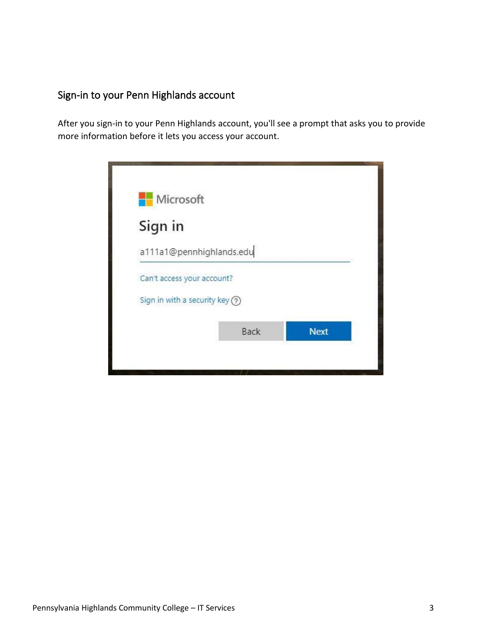## Sign-in to your Penn Highlands account

After you sign-in to your Penn Highlands account, you'll see a prompt that asks you to provide more information before it lets you access your account.

| Microsoft                         |      |             |
|-----------------------------------|------|-------------|
| Sign in                           |      |             |
| a111a1@pennhighlands.edu          |      |             |
| Can't access your account?        |      |             |
| Sign in with a security key $(2)$ |      |             |
|                                   | Back | <b>Next</b> |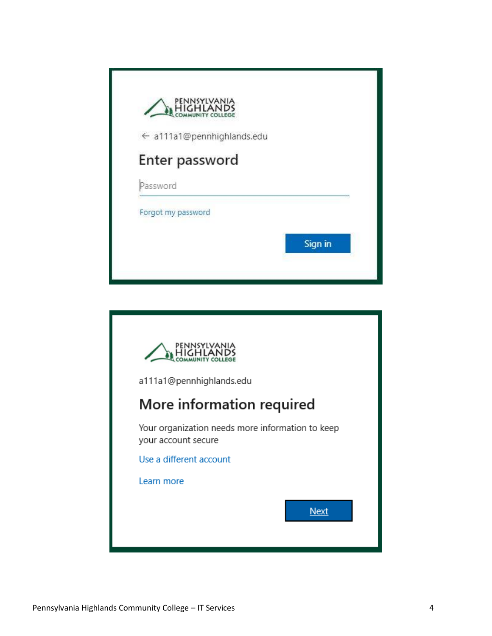| Sign in |
|---------|
|         |

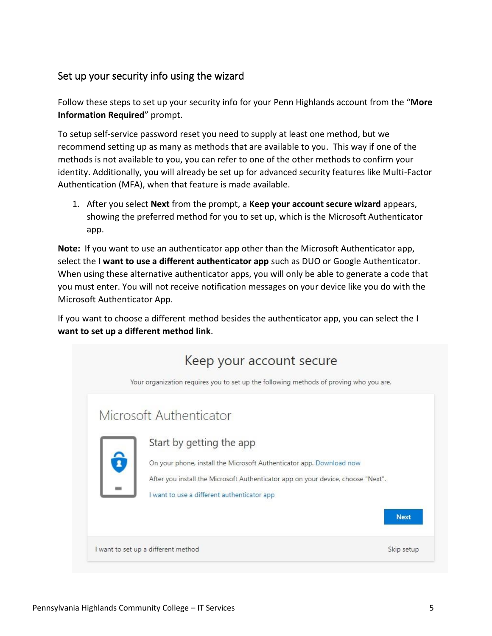## Set up your security info using the wizard

Follow these steps to set up your security info for your Penn Highlands account from the "**More Information Required**" prompt.

To setup self-service password reset you need to supply at least one method, but we recommend setting up as many as methods that are available to you. This way if one of the methods is not available to you, you can refer to one of the other methods to confirm your identity. Additionally, you will already be set up for advanced security features like Multi-Factor Authentication (MFA), when that feature is made available.

1. After you select **Next** from the prompt, a **Keep your account secure wizard** appears, showing the preferred method for you to set up, which is the Microsoft Authenticator app.

**Note:** If you want to use an authenticator app other than the Microsoft Authenticator app, select the **I want to use a different authenticator app** such as DUO or Google Authenticator. When using these alternative authenticator apps, you will only be able to generate a code that you must enter. You will not receive notification messages on your device like you do with the Microsoft Authenticator App.

If you want to choose a different method besides the authenticator app, you can select the **I want to set up a different method link**.

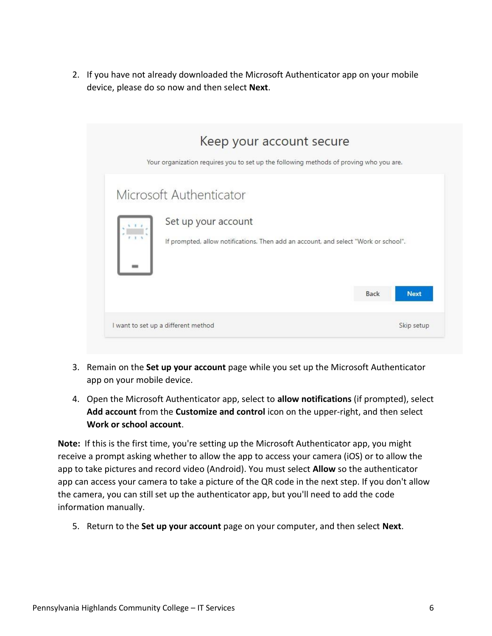2. If you have not already downloaded the Microsoft Authenticator app on your mobile device, please do so now and then select **Next**.

| Keep your account secure<br>Your organization requires you to set up the following methods of proving who you are.                    |      |             |
|---------------------------------------------------------------------------------------------------------------------------------------|------|-------------|
| Microsoft Authenticator<br>Set up your account<br>If prompted, allow notifications. Then add an account, and select "Work or school". |      |             |
|                                                                                                                                       | Back | <b>Next</b> |
| I want to set up a different method                                                                                                   |      | Skip setup  |

- 3. Remain on the **Set up your account** page while you set up the Microsoft Authenticator app on your mobile device.
- 4. Open the Microsoft Authenticator app, select to **allow notifications** (if prompted), select **Add account** from the **Customize and control** icon on the upper-right, and then select **Work or school account**.

**Note:** If this is the first time, you're setting up the Microsoft Authenticator app, you might receive a prompt asking whether to allow the app to access your camera (iOS) or to allow the app to take pictures and record video (Android). You must select **Allow** so the authenticator app can access your camera to take a picture of the QR code in the next step. If you don't allow the camera, you can still set up the authenticator app, but you'll need to add the code information manually.

5. Return to the **Set up your account** page on your computer, and then select **Next**.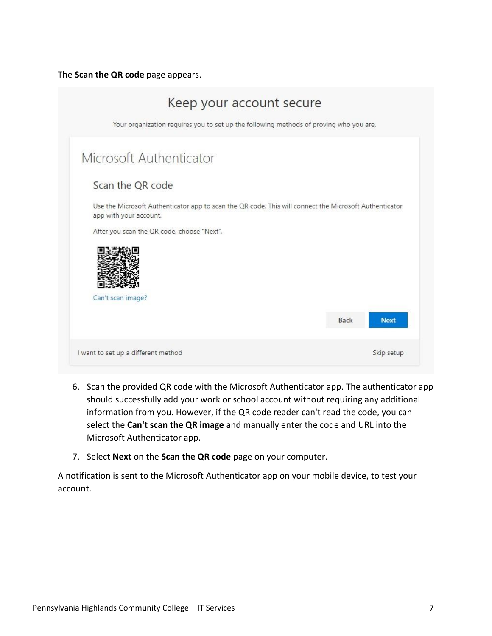The **Scan the QR code** page appears.

| Keep your account secure                                                                                                         |      |             |
|----------------------------------------------------------------------------------------------------------------------------------|------|-------------|
| Your organization requires you to set up the following methods of proving who you are.                                           |      |             |
| Microsoft Authenticator                                                                                                          |      |             |
| Scan the QR code                                                                                                                 |      |             |
| Use the Microsoft Authenticator app to scan the QR code. This will connect the Microsoft Authenticator<br>app with your account. |      |             |
| After you scan the QR code, choose "Next".                                                                                       |      |             |
|                                                                                                                                  |      |             |
| Can't scan image?                                                                                                                |      |             |
|                                                                                                                                  | Back | <b>Next</b> |
| I want to set up a different method                                                                                              |      | Skip setup  |

- 6. Scan the provided QR code with the Microsoft Authenticator app. The authenticator app should successfully add your work or school account without requiring any additional information from you. However, if the QR code reader can't read the code, you can select the **Can't scan the QR image** and manually enter the code and URL into the Microsoft Authenticator app.
- 7. Select **Next** on the **Scan the QR code** page on your computer.

A notification is sent to the Microsoft Authenticator app on your mobile device, to test your account.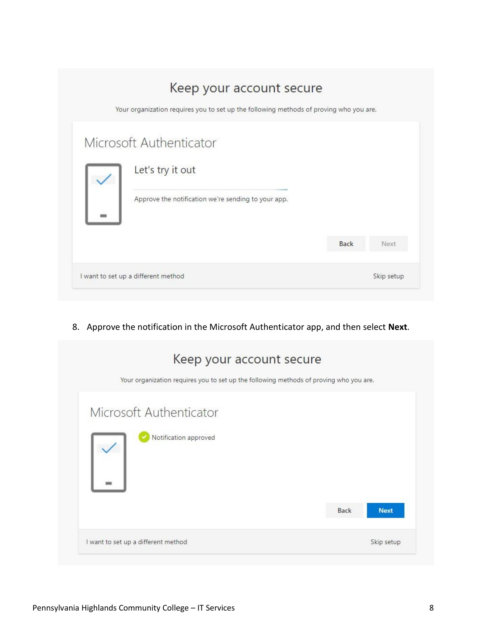| Keep your account secure<br>Your organization requires you to set up the following methods of proving who you are. |      |            |
|--------------------------------------------------------------------------------------------------------------------|------|------------|
| Microsoft Authenticator<br>Let's try it out                                                                        |      |            |
| Approve the notification we're sending to your app.                                                                |      |            |
|                                                                                                                    | Back | Next       |
| I want to set up a different method                                                                                |      | Skip setup |

8. Approve the notification in the Microsoft Authenticator app, and then select **Next**.

| Keep your account secure<br>Your organization requires you to set up the following methods of proving who you are. |                     |
|--------------------------------------------------------------------------------------------------------------------|---------------------|
| Microsoft Authenticator<br>Notification approved                                                                   |                     |
|                                                                                                                    | Back<br><b>Next</b> |
| I want to set up a different method                                                                                | Skip setup          |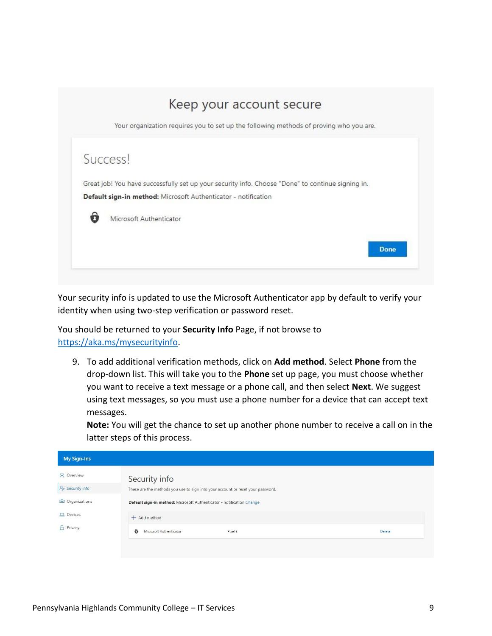

Your security info is updated to use the Microsoft Authenticator app by default to verify your identity when using two-step verification or password reset.

You should be returned to your **Security Info** Page, if not browse to [https://aka.ms/mysecurityinfo.](https://aka.ms/mysecurityinfo)

9. To add additional verification methods, click on **Add method**. Select **Phone** from the drop-down list. This will take you to the **Phone** set up page, you must choose whether you want to receive a text message or a phone call, and then select **Next**. We suggest using text messages, so you must use a phone number for a device that can accept text messages.

**Note:** You will get the chance to set up another phone number to receive a call on in the latter steps of this process.

| <b>My Sign-Ins</b>          |                                                                                 |        |
|-----------------------------|---------------------------------------------------------------------------------|--------|
| Q Overview                  | Security info                                                                   |        |
| $\frac{1}{2}$ Security info | These are the methods you use to sign into your account or reset your password. |        |
| <b>B</b> Organizations      | Default sign-in method: Microsoft Authenticator - notification Change           |        |
| <b>口</b> Devices            | $+$ Add method                                                                  |        |
| A Privacy                   | $\hat{\mathbf{o}}$<br>Microsoft Authenticator<br>Pixel 2                        | Delete |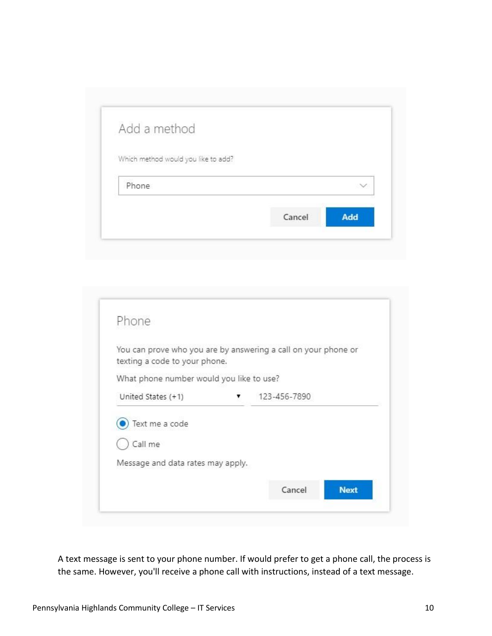| Add a method                        |  |
|-------------------------------------|--|
| Which method would you like to add? |  |
| Phone                               |  |
|                                     |  |

| Phone                                                          |              |  |
|----------------------------------------------------------------|--------------|--|
| You can prove who you are by answering a call on your phone or |              |  |
| texting a code to your phone.                                  |              |  |
| What phone number would you like to use?                       |              |  |
| United States (+1)                                             | 123-456-7890 |  |
| Text me a code                                                 |              |  |
| Call me                                                        |              |  |
| Message and data rates may apply.                              |              |  |
|                                                                |              |  |

A text message is sent to your phone number. If would prefer to get a phone call, the process is the same. However, you'll receive a phone call with instructions, instead of a text message.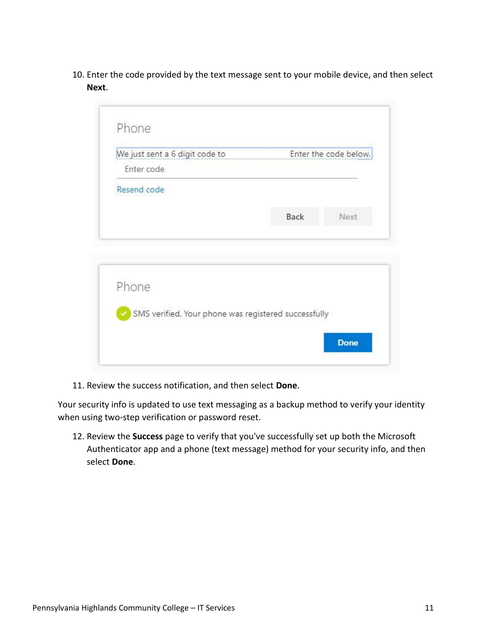10. Enter the code provided by the text message sent to your mobile device, and then select **Next**.

| We just sent a 6 digit code to                       |      | Enter the code below. |
|------------------------------------------------------|------|-----------------------|
| Enter code                                           |      |                       |
| Resend code                                          |      |                       |
|                                                      | Back | Next                  |
|                                                      |      |                       |
| Phone                                                |      |                       |
|                                                      |      |                       |
| SMS verified. Your phone was registered successfully |      |                       |

11. Review the success notification, and then select **Done**.

Your security info is updated to use text messaging as a backup method to verify your identity when using two-step verification or password reset.

12. Review the **Success** page to verify that you've successfully set up both the Microsoft Authenticator app and a phone (text message) method for your security info, and then select **Done**.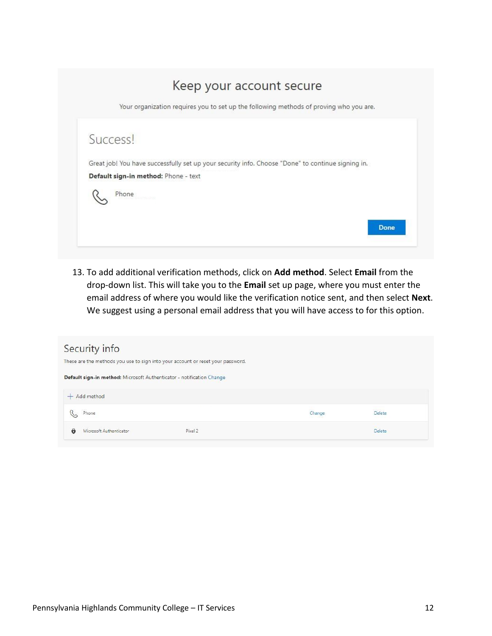

13. To add additional verification methods, click on **Add method**. Select **Email** from the drop-down list. This will take you to the **Email** set up page, where you must enter the email address of where you would like the verification notice sent, and then select **Next**. We suggest using a personal email address that you will have access to for this option.

| Security info<br>These are the methods you use to sign into your account or reset your password. |         |        |               |  |
|--------------------------------------------------------------------------------------------------|---------|--------|---------------|--|
| Default sign-in method: Microsoft Authenticator - notification Change                            |         |        |               |  |
| $+$ Add method                                                                                   |         |        |               |  |
| Phone<br>$\heartsuit$                                                                            |         | Change | <b>Delete</b> |  |
| û<br>Microsoft Authenticator                                                                     | Pixel 2 |        | Delete        |  |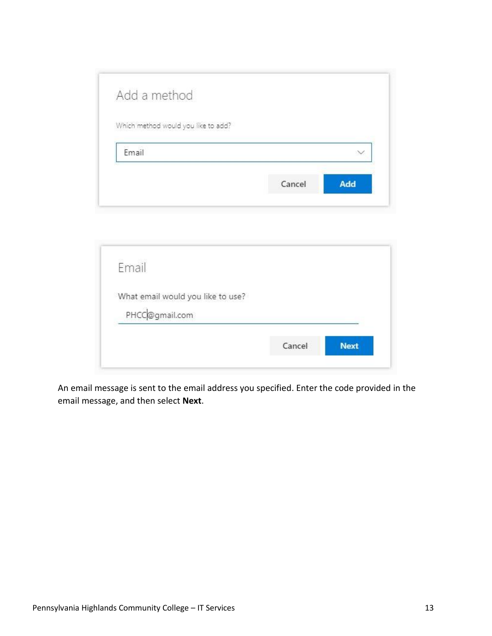| Add a method                        |  |
|-------------------------------------|--|
| Which method would you like to add? |  |
|                                     |  |
| Email                               |  |

| Email                             |        |             |
|-----------------------------------|--------|-------------|
| What email would you like to use? |        |             |
| PHCC@gmail.com                    |        |             |
|                                   | Cancel | <b>Next</b> |

An email message is sent to the email address you specified. Enter the code provided in the email message, and then select **Next**.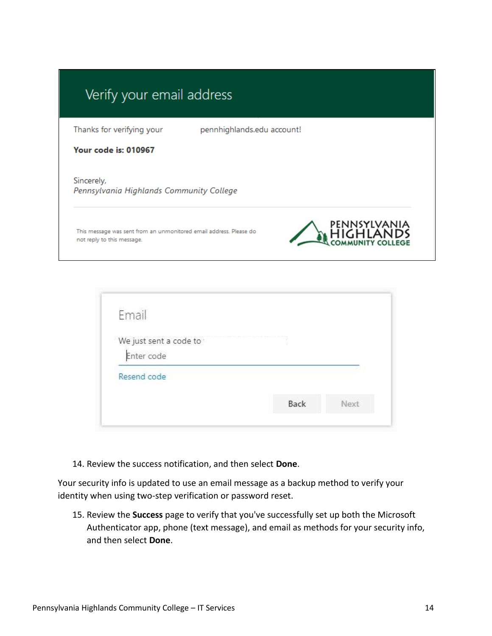| Thanks for verifying your                              | pennhighlands.edu account!                                         |              |
|--------------------------------------------------------|--------------------------------------------------------------------|--------------|
| <b>Your code is: 010967</b>                            |                                                                    |              |
| Sincerely,<br>Pennsylvania Highlands Community College |                                                                    |              |
|                                                        | This message was sent from an unmonitored email address. Please do | PENNSYLVANIA |

| We just sent a code to |  |
|------------------------|--|
|                        |  |
| Enter code             |  |

14. Review the success notification, and then select **Done**.

Your security info is updated to use an email message as a backup method to verify your identity when using two-step verification or password reset.

15. Review the **Success** page to verify that you've successfully set up both the Microsoft Authenticator app, phone (text message), and email as methods for your security info, and then select **Done**.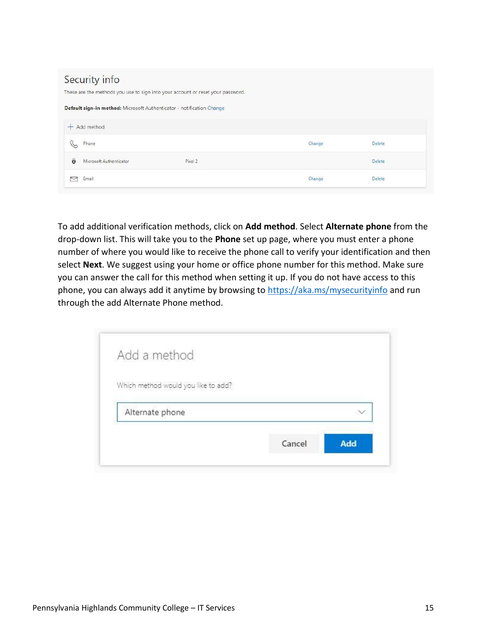|   | Security info                                                         | These are the methods you use to sign into your account or reset your password. |        |        |  |
|---|-----------------------------------------------------------------------|---------------------------------------------------------------------------------|--------|--------|--|
|   | Default sign-in method: Microsoft Authenticator - notification Change |                                                                                 |        |        |  |
|   | $+$ Add method                                                        |                                                                                 |        |        |  |
|   | Phone                                                                 |                                                                                 | Change | Delete |  |
| ô | Microsoft Authenticator                                               | Pixel 2                                                                         |        | Delete |  |
|   | Email                                                                 |                                                                                 | Change | Delete |  |

To add additional verification methods, click on **Add method**. Select **Alternate phone** from the drop-down list. This will take you to the **Phone** set up page, where you must enter a phone number of where you would like to receive the phone call to verify your identification and then select **Next**. We suggest using your home or office phone number for this method. Make sure you can answer the call for this method when setting it up. If you do not have access to this phone, you can always add it anytime by browsing to<https://aka.ms/mysecurityinfo> and run through the add Alternate Phone method.

| Add a method                        |  |
|-------------------------------------|--|
| Which method would you like to add? |  |
| Alternate phone                     |  |
|                                     |  |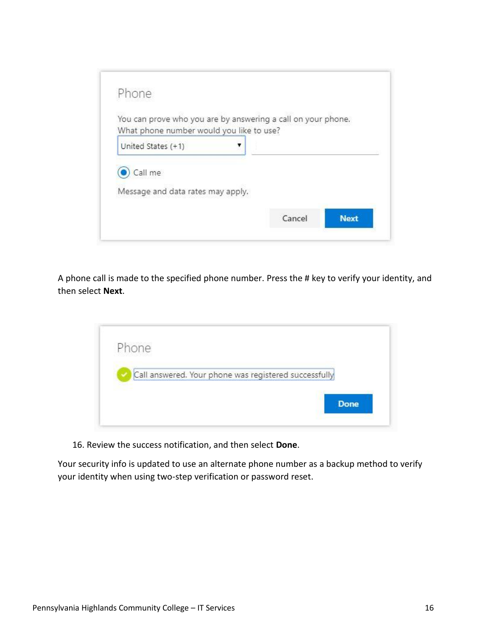

A phone call is made to the specified phone number. Press the # key to verify your identity, and then select **Next**.



16. Review the success notification, and then select **Done**.

Your security info is updated to use an alternate phone number as a backup method to verify your identity when using two-step verification or password reset.